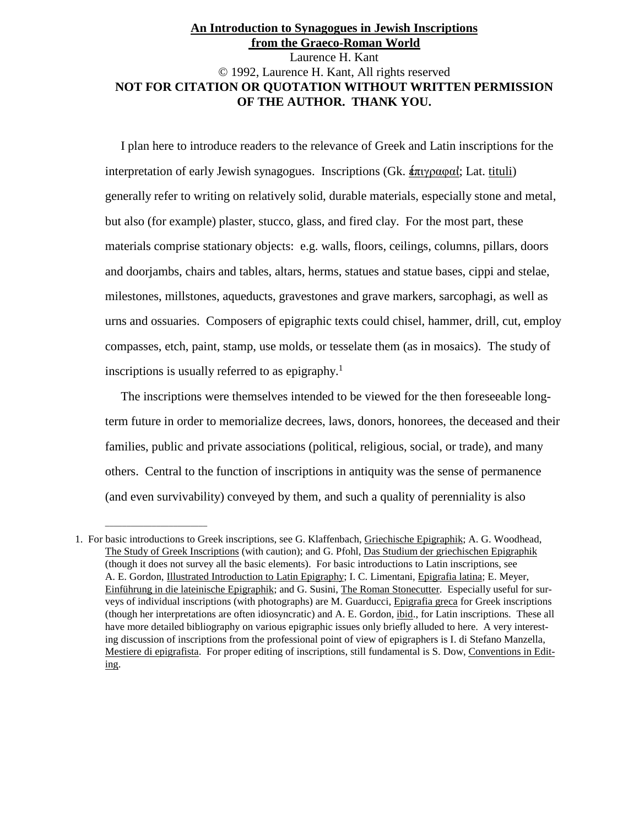## **An Introduction to Synagogues in Jewish Inscriptions from the Graeco-Roman World** Laurence H. Kant © 1992, Laurence H. Kant, All rights reserved **NOT FOR CITATION OR QUOTATION WITHOUT WRITTEN PERMISSION OF THE AUTHOR. THANK YOU.**

I plan here to introduce readers to the relevance of Greek and Latin inscriptions for the interpretation of early Jewish synagogues. Inscriptions (Gk.  $\frac{\partial \pi \nu}{\partial \phi}$ ): Lat. tituli) generally refer to writing on relatively solid, durable materials, especially stone and metal, but also (for example) plaster, stucco, glass, and fired clay. For the most part, these materials comprise stationary objects: e.g. walls, floors, ceilings, columns, pillars, doors and doorjambs, chairs and tables, altars, herms, statues and statue bases, cippi and stelae, milestones, millstones, aqueducts, gravestones and grave markers, sarcophagi, as well as urns and ossuaries. Composers of epigraphic texts could chisel, hammer, drill, cut, employ compasses, etch, paint, stamp, use molds, or tesselate them (as in mosaics). The study of inscriptions is usually referred to as epigraphy.<sup>1</sup>

 The inscriptions were themselves intended to be viewed for the then foreseeable longterm future in order to memorialize decrees, laws, donors, honorees, the deceased and their families, public and private associations (political, religious, social, or trade), and many others. Central to the function οf inscriptions in antiquity was the sense of permanence (and even survivability) conveyed by them, and such a quality of perenniality is also

\_\_\_\_\_\_\_\_\_\_\_\_\_\_\_\_\_\_\_\_\_\_\_\_

<sup>1.</sup> For basic introductions to Greek inscriptions, see G. Klaffenbach, Griechische Epigraphik; A. G. Woodhead, The Study of Greek Inscriptions (with caution); and G. Pfohl, Das Studium der griechischen Epigraphik (though it does not survey all the basic elements). For basic introductions to Latin inscriptions, see A. E. Gordon, Illustrated Introduction to Latin Epigraphy; I. C. Limentani, Epigrafia latina; E. Meyer, Einführung in die lateinische Epigraphik; and G. Susini, The Roman Stonecutter. Εspecially useful for surveys of individual inscriptions (with photographs) are M. Guarducci, Epigrafia greca for Greek inscriptions (though her interpretations are often idiosyncratic) and A. E. Gordon, ibid., for Latin inscriptions. These all have more detailed bibliography on various epigraphic issues only briefly alluded to here. A very interesting discussion of inscriptions from the professional point of view of epigraphers is I. di Stefano Manzella, Mestiere di epigrafista. For proper editing of inscriptions, still fundamental is S. Dow, Conventions in Editing.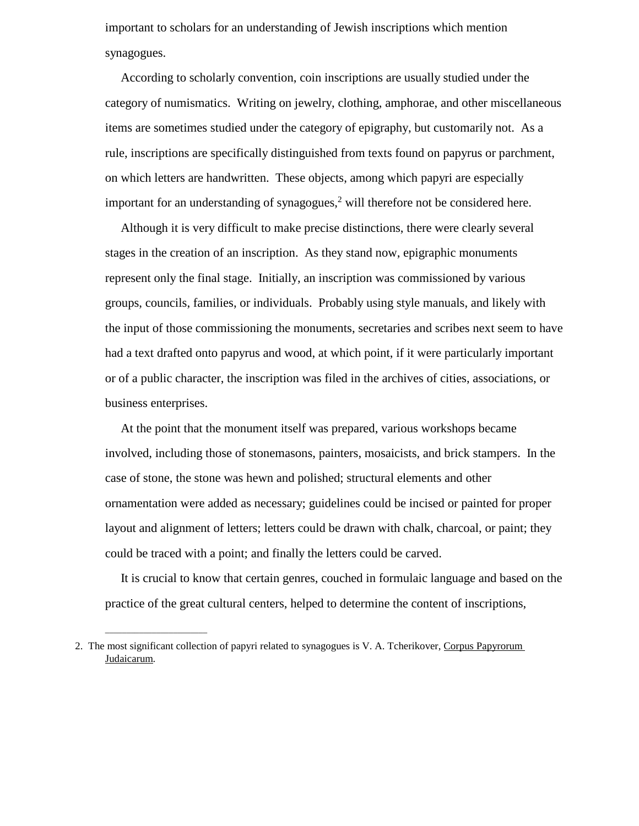important to scholars for an understanding of Jewish inscriptions which mention synagogues.

 According to scholarly convention, coin inscriptions are usually studied under the category of numismatics. Writing on jewelry, clothing, amphorae, and other miscellaneous items are sometimes studied under the category of epigraphy, but customarily not. As a rule, inscriptions are specifically distinguished from texts found on papyrus or parchment, on which letters are handwritten. These objects, among which papyri are especially important for an understanding of synagogues,<sup>2</sup> will therefore not be considered here.

 Although it is very difficult to make precise distinctions, there were clearly several stages in the creation of an inscription. As they stand now, epigraphic monuments represent only the final stage. Initially, an inscription was commissioned by various groups, councils, families, or individuals. Probably using style manuals, and likely with the input of those commissioning the monuments, secretaries and scribes next seem to have had a text drafted onto papyrus and wood, at which point, if it were particularly important or of a public character, the inscription was filed in the archives of cities, associations, or business enterprises.

 At the point that the monument itself was prepared, various workshops became involved, including those of stonemasons, painters, mosaicists, and brick stampers. In the case of stone, the stone was hewn and polished; structural elements and other ornamentation were added as necessary; guidelines could be incised or painted for proper layout and alignment of letters; letters could be drawn with chalk, charcoal, or paint; they could be traced with a point; and finally the letters could be carved.

 It is crucial to know that certain genres, couched in formulaic language and based on the practice of the great cultural centers, helped to determine the content of inscriptions,

<sup>2.</sup> The most significant collection of papyri related to synagogues is V. A. Tcherikover, Corpus Papyrorum Judaicarum.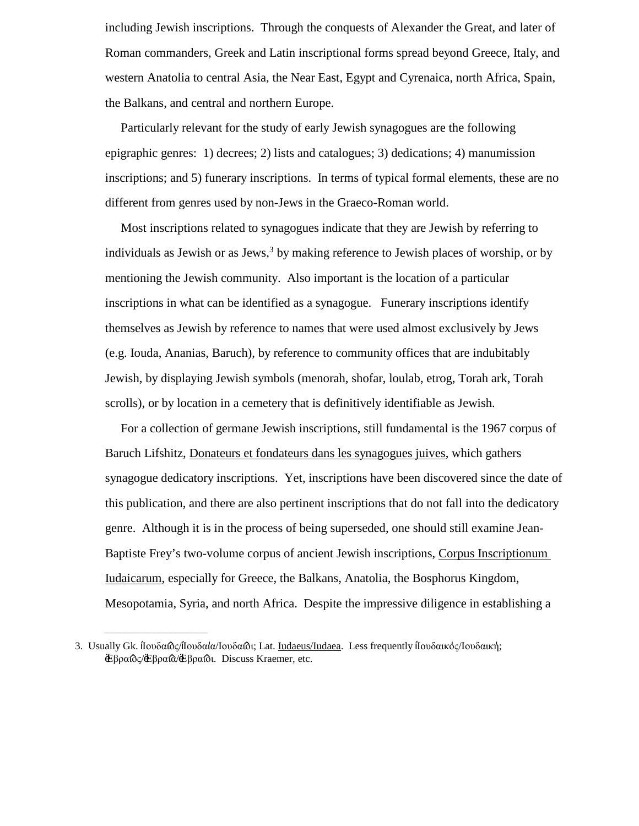including Jewish inscriptions. Through the conquests of Alexander the Great, and later of Roman commanders, Greek and Latin inscriptional forms spread beyond Greece, Italy, and western Anatolia to central Asia, the Near East, Egypt and Cyrenaica, north Africa, Spain, the Balkans, and central and northern Europe.

 Particularly relevant for the study of early Jewish synagogues are the following epigraphic genres: 1) decrees; 2) lists and catalogues; 3) dedications; 4) manumission inscriptions; and 5) funerary inscriptions. In terms of typical formal elements, these are no different from genres used by non-Jews in the Graeco-Roman world.

 Most inscriptions related to synagogues indicate that they are Jewish by referring to individuals as Jewish or as Jews, $3$  by making reference to Jewish places of worship, or by mentioning the Jewish community. Also important is the location of a particular inscriptions in what can be identified as a synagogue. Funerary inscriptions identify themselves as Jewish by reference to names that were used almost exclusively by Jews (e.g. Iouda, Ananias, Baruch), by reference to community offices that are indubitably Jewish, by displaying Jewish symbols (menorah, shofar, loulab, etrog, Torah ark, Torah scrolls), or by location in a cemetery that is definitively identifiable as Jewish.

 For a collection of germane Jewish inscriptions, still fundamental is the 1967 corpus of Baruch Lifshitz, Donateurs et fondateurs dans les synagogues juives, which gathers synagogue dedicatory inscriptions. Yet, inscriptions have been discovered since the date of this publication, and there are also pertinent inscriptions that do not fall into the dedicatory genre. Although it is in the process of being superseded, one should still examine Jean-Baptiste Frey's two-volume corpus of ancient Jewish inscriptions, Corpus Inscriptionum Iudaicarum, especially for Greece, the Balkans, Anatolia, the Bosphorus Kingdom, Mesopotamia, Syria, and north Africa. Despite the impressive diligence in establishing a

<sup>3.</sup> Usually Gk. 'Ιουδαιος/Ιουδαια/Ιουδαιοι; Lat. Iudaeus/Iudaea. Less frequently 'Ιουδαικός/Ιουδαική; 'Εβραΐος/'Εβραΐα/'Εβραΐοι. Discuss Kraemer, etc.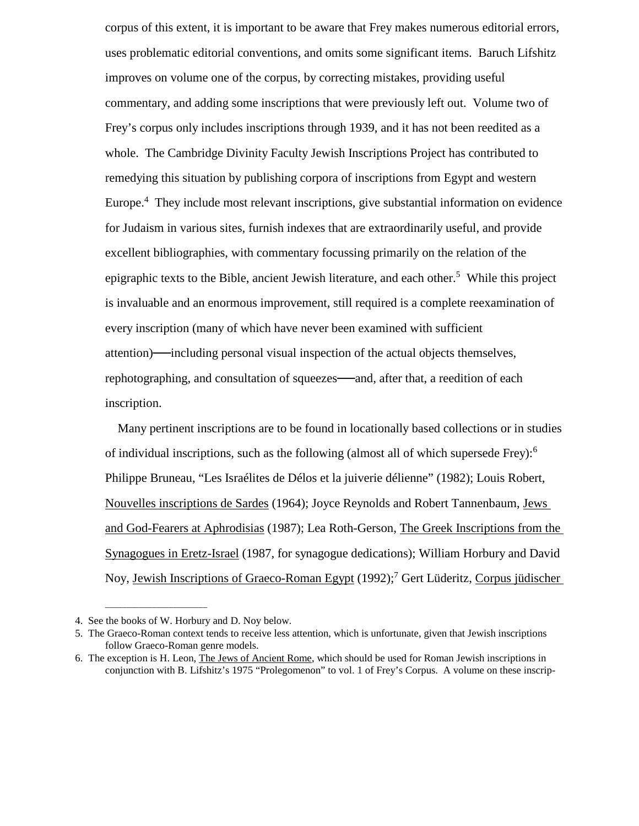corpus of this extent, it is important to be aware that Frey makes numerous editorial errors, uses problematic editorial conventions, and omits some significant items. Baruch Lifshitz improves on volume one of the corpus, by correcting mistakes, providing useful commentary, and adding some inscriptions that were previously left out. Volume two of Frey's corpus only includes inscriptions through 1939, and it has not been reedited as a whole. The Cambridge Divinity Faculty Jewish Inscriptions Project has contributed to remedying this situation by publishing corpora of inscriptions from Egypt and western Europe.<sup>4</sup> They include most relevant inscriptions, give substantial information on evidence for Judaism in various sites, furnish indexes that are extraordinarily useful, and provide excellent bibliographies, with commentary focussing primarily on the relation of the epigraphic texts to the Bible, ancient Jewish literature, and each other.<sup>5</sup> While this project is invaluable and an enormous improvement, still required is a complete reexamination of every inscription (many of which have never been examined with sufficient attention)──including personal visual inspection of the actual objects themselves, rephotographing, and consultation of squeezes—and, after that, a reedition of each inscription.

 Many pertinent inscriptions are to be found in locationally based collections or in studies of individual inscriptions, such as the following (almost all of which supersede Frey):<sup>6</sup> Philippe Bruneau, "Les Israélites de Délos et la juiverie délienne" (1982); Louis Robert, Nouvelles inscriptions de Sardes (1964); Joyce Reynolds and Robert Tannenbaum, Jews and God-Fearers at Aphrodisias (1987); Lea Roth-Gerson, The Greek Inscriptions from the Synagogues in Eretz-Israel (1987, for synagogue dedications); William Horbury and David Noy, Jewish Inscriptions of Graeco-Roman Egypt (1992);<sup>7</sup> Gert Lüderitz, Corpus jüdischer

<sup>4.</sup> See the books of W. Horbury and D. Noy below.

<sup>5.</sup> The Graeco-Roman context tends to receive less attention, which is unfortunate, given that Jewish inscriptions follow Graeco-Roman genre models.

<sup>6.</sup> The exception is H. Leon, The Jews of Ancient Rome, which should be used for Roman Jewish inscriptions in conjunction with B. Lifshitz's 1975 "Prolegomenon" to vol. 1 of Frey's Corpus. A volume on these inscrip-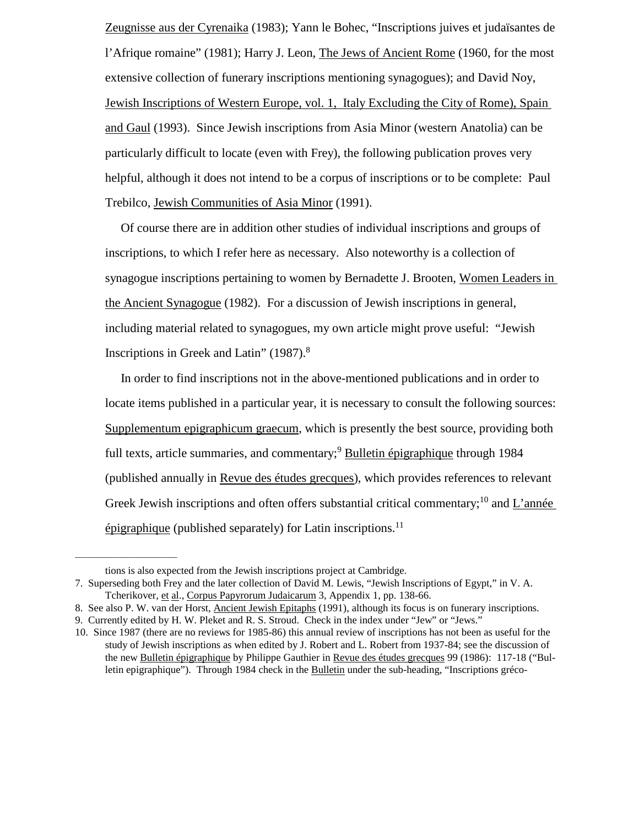Zeugnisse aus der Cyrenaika (1983); Yann le Bohec, "Inscriptions juives et judaïsantes de l'Afrique romaine" (1981); Harry J. Leon, The Jews of Ancient Rome (1960, for the most extensive collection of funerary inscriptions mentioning synagogues); and David Noy, Jewish Inscriptions of Western Europe, vol. 1, Italy Excluding the City of Rome), Spain and Gaul (1993). Since Jewish inscriptions from Asia Minor (western Anatolia) can be particularly difficult to locate (even with Frey), the following publication proves very helpful, although it does not intend to be a corpus of inscriptions or to be complete: Paul Trebilco, Jewish Communities of Asia Minor (1991).

 Of course there are in addition other studies of individual inscriptions and groups of inscriptions, to which I refer here as necessary. Also noteworthy is a collection of synagogue inscriptions pertaining to women by Bernadette J. Brooten, Women Leaders in the Ancient Synagogue (1982). For a discussion of Jewish inscriptions in general, including material related to synagogues, my own article might prove useful: "Jewish Inscriptions in Greek and Latin" (1987).<sup>8</sup>

 In order to find inscriptions not in the above-mentioned publications and in order to locate items published in a particular year, it is necessary to consult the following sources: Supplementum epigraphicum graecum, which is presently the best source, providing both full texts, article summaries, and commentary;<sup>9</sup> Bulletin épigraphique through 1984 (published annually in Revue des études grecques), which provides references to relevant Greek Jewish inscriptions and often offers substantial critical commentary;<sup>10</sup> and L'année  $\varphi$  epigraphique (published separately) for Latin inscriptions.<sup>11</sup>

tions is also expected from the Jewish inscriptions project at Cambridge.

<sup>7.</sup> Superseding both Frey and the later collection of David M. Lewis, "Jewish Inscriptions of Egypt," in V. A. Tcherikover, et al., Corpus Papyrorum Judaicarum 3, Appendix 1, pp. 138-66.

<sup>8.</sup> See also P. W. van der Horst, Ancient Jewish Epitaphs (1991), although its focus is on funerary inscriptions.

<sup>9.</sup> Currently edited by H. W. Pleket and R. S. Stroud. Check in the index under "Jew" or "Jews."

<sup>10.</sup> Since 1987 (there are no reviews for 1985-86) this annual review of inscriptions has not been as useful for the study of Jewish inscriptions as when edited by J. Robert and L. Robert from 1937-84; see the discussion of the new Bulletin épigraphique by Philippe Gauthier in Revue des études grecques 99 (1986): 117-18 ("Bulletin epigraphique"). Through 1984 check in the Bulletin under the sub-heading, "Inscriptions gréco-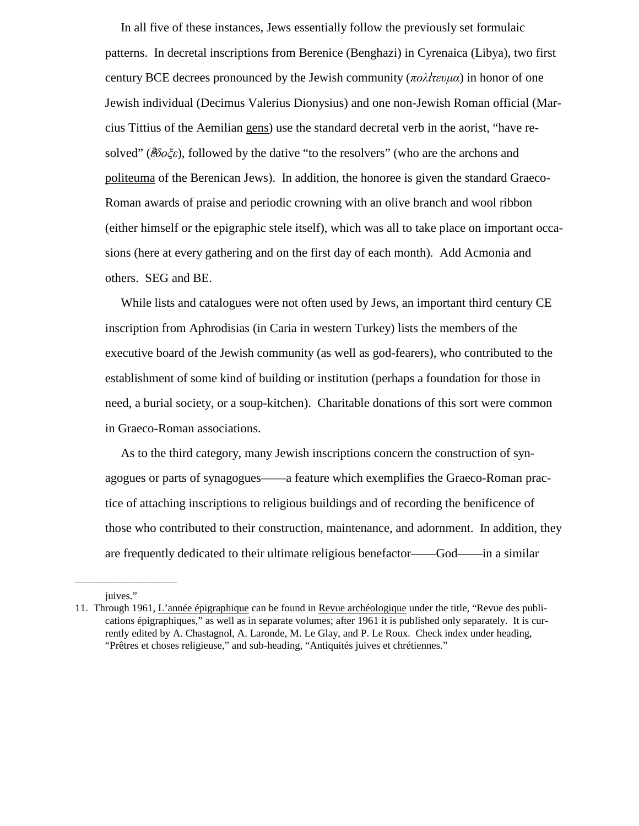In all five of these instances, Jews essentially follow the previously set formulaic patterns. In decretal inscriptions from Berenice (Benghazi) in Cyrenaica (Libya), two first century BCE decrees pronounced by the Jewish community (*πολι'τευμα*) in honor of one Jewish individual (Decimus Valerius Dionysius) and one non-Jewish Roman official (Marcius Tittius of the Aemilian gens) use the standard decretal verb in the aorist, "have resolved" (*ε»δοξε*), followed by the dative "to the resolvers" (who are the archons and politeuma of the Berenican Jews). In addition, the honoree is given the standard Graeco-Roman awards of praise and periodic crowning with an olive branch and wool ribbon (either himself or the epigraphic stele itself), which was all to take place on important occasions (here at every gathering and on the first day of each month). Add Acmonia and others. SEG and BE.

 While lists and catalogues were not often used by Jews, an important third century CE inscription from Aphrodisias (in Caria in western Turkey) lists the members of the executive board of the Jewish community (as well as god-fearers), who contributed to the establishment of some kind of building or institution (perhaps a foundation for those in need, a burial society, or a soup-kitchen). Charitable donations of this sort were common in Graeco-Roman associations.

 As to the third category, many Jewish inscriptions concern the construction of synagogues or parts of synagogues——a feature which exemplifies the Graeco-Roman practice of attaching inscriptions to religious buildings and of recording the benificence of those who contributed to their construction, maintenance, and adornment. In addition, they are frequently dedicated to their ultimate religious benefactor——God——in a similar

juives."

<sup>11.</sup> Through 1961, L'année épigraphique can be found in Revue archéologique under the title, "Revue des publications épigraphiques," as well as in separate volumes; after 1961 it is published only separately. It is currently edited by A. Chastagnol, A. Laronde, M. Le Glay, and P. Le Roux. Check index under heading, "Prêtres et choses religieuse," and sub-heading, "Antiquités juives et chrétiennes."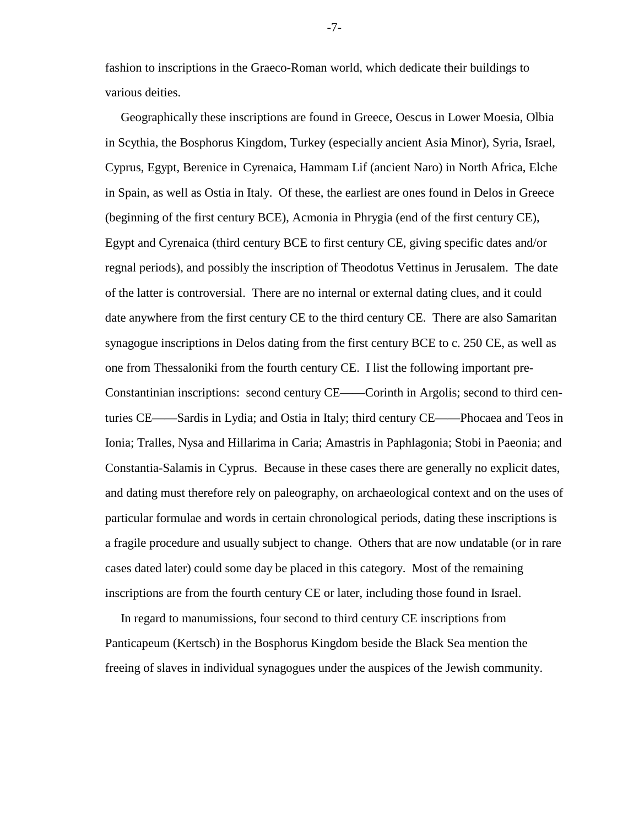fashion to inscriptions in the Graeco-Roman world, which dedicate their buildings to various deities.

 Geographically these inscriptions are found in Greece, Oescus in Lower Moesia, Olbia in Scythia, the Bosphorus Kingdom, Turkey (especially ancient Asia Minor), Syria, Israel, Cyprus, Egypt, Berenice in Cyrenaica, Hammam Lif (ancient Naro) in North Africa, Elche in Spain, as well as Ostia in Italy. Of these, the earliest are ones found in Delos in Greece (beginning of the first century BCE), Acmonia in Phrygia (end of the first century CE), Egypt and Cyrenaica (third century BCE to first century CE, giving specific dates and/or regnal periods), and possibly the inscription of Theodotus Vettinus in Jerusalem. The date of the latter is controversial. There are no internal or external dating clues, and it could date anywhere from the first century CE to the third century CE. There are also Samaritan synagogue inscriptions in Delos dating from the first century BCE to c. 250 CE, as well as one from Thessaloniki from the fourth century CE. I list the following important pre-Constantinian inscriptions: second century CE——Corinth in Argolis; second to third centuries CE——Sardis in Lydia; and Ostia in Italy; third century CE——Phocaea and Teos in Ionia; Tralles, Nysa and Hillarima in Caria; Amastris in Paphlagonia; Stobi in Paeonia; and Constantia-Salamis in Cyprus. Because in these cases there are generally no explicit dates, and dating must therefore rely on paleography, on archaeological context and on the uses of particular formulae and words in certain chronological periods, dating these inscriptions is a fragile procedure and usually subject to change. Others that are now undatable (or in rare cases dated later) could some day be placed in this category. Most of the remaining inscriptions are from the fourth century CE or later, including those found in Israel.

 In regard to manumissions, four second to third century CE inscriptions from Panticapeum (Kertsch) in the Bosphorus Kingdom beside the Black Sea mention the freeing of slaves in individual synagogues under the auspices of the Jewish community.

-7-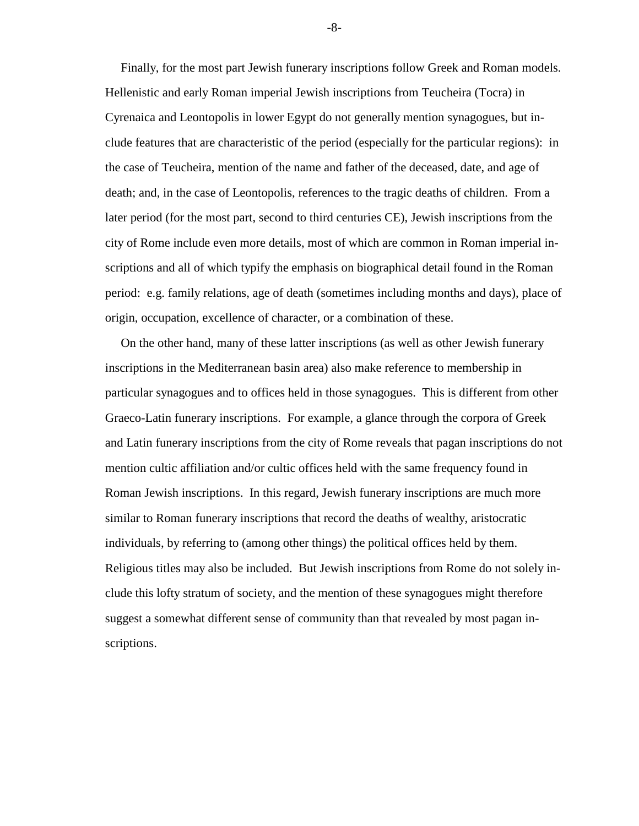Finally, for the most part Jewish funerary inscriptions follow Greek and Roman models. Hellenistic and early Roman imperial Jewish inscriptions from Teucheira (Tocra) in Cyrenaica and Leontopolis in lower Egypt do not generally mention synagogues, but include features that are characteristic of the period (especially for the particular regions): in the case of Teucheira, mention of the name and father of the deceased, date, and age of death; and, in the case of Leontopolis, references to the tragic deaths of children. From a later period (for the most part, second to third centuries CE), Jewish inscriptions from the city of Rome include even more details, most of which are common in Roman imperial inscriptions and all of which typify the emphasis on biographical detail found in the Roman period: e.g. family relations, age of death (sometimes including months and days), place of origin, occupation, excellence of character, or a combination of these.

 On the other hand, many of these latter inscriptions (as well as other Jewish funerary inscriptions in the Mediterranean basin area) also make reference to membership in particular synagogues and to offices held in those synagogues. This is different from other Graeco-Latin funerary inscriptions. For example, a glance through the corpora of Greek and Latin funerary inscriptions from the city of Rome reveals that pagan inscriptions do not mention cultic affiliation and/or cultic offices held with the same frequency found in Roman Jewish inscriptions. In this regard, Jewish funerary inscriptions are much more similar to Roman funerary inscriptions that record the deaths of wealthy, aristocratic individuals, by referring to (among other things) the political offices held by them. Religious titles may also be included. But Jewish inscriptions from Rome do not solely include this lofty stratum of society, and the mention of these synagogues might therefore suggest a somewhat different sense of community than that revealed by most pagan inscriptions.

-8-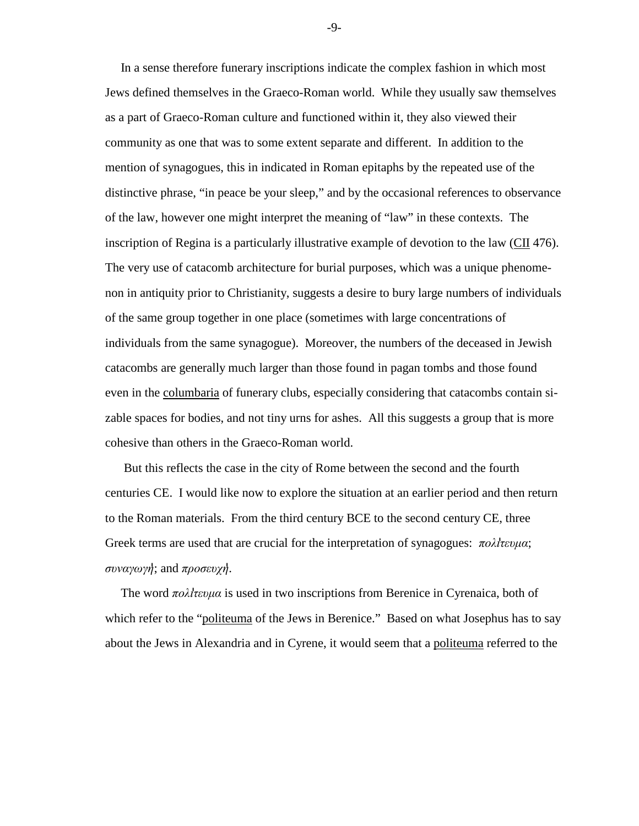In a sense therefore funerary inscriptions indicate the complex fashion in which most Jews defined themselves in the Graeco-Roman world. While they usually saw themselves as a part of Graeco-Roman culture and functioned within it, they also viewed their community as one that was to some extent separate and different. In addition to the mention of synagogues, this in indicated in Roman epitaphs by the repeated use of the distinctive phrase, "in peace be your sleep," and by the occasional references to observance of the law, however one might interpret the meaning of "law" in these contexts. The inscription of Regina is a particularly illustrative example of devotion to the law (CII 476). The very use of catacomb architecture for burial purposes, which was a unique phenomenon in antiquity prior to Christianity, suggests a desire to bury large numbers of individuals of the same group together in one place (sometimes with large concentrations of individuals from the same synagogue). Moreover, the numbers of the deceased in Jewish catacombs are generally much larger than those found in pagan tombs and those found even in the columbaria of funerary clubs, especially considering that catacombs contain sizable spaces for bodies, and not tiny urns for ashes. All this suggests a group that is more cohesive than others in the Graeco-Roman world.

 But this reflects the case in the city of Rome between the second and the fourth centuries CE. I would like now to explore the situation at an earlier period and then return to the Roman materials. From the third century BCE to the second century CE, three Greek terms are used that are crucial for the interpretation of synagogues: *πολι'τευμα*; *συναγωγη'*; and *προσευχη'*.

 The word *πολι'τευμα* is used in two inscriptions from Berenice in Cyrenaica, both of which refer to the "politeuma of the Jews in Berenice." Based on what Josephus has to say about the Jews in Alexandria and in Cyrene, it would seem that a politeuma referred to the

-9-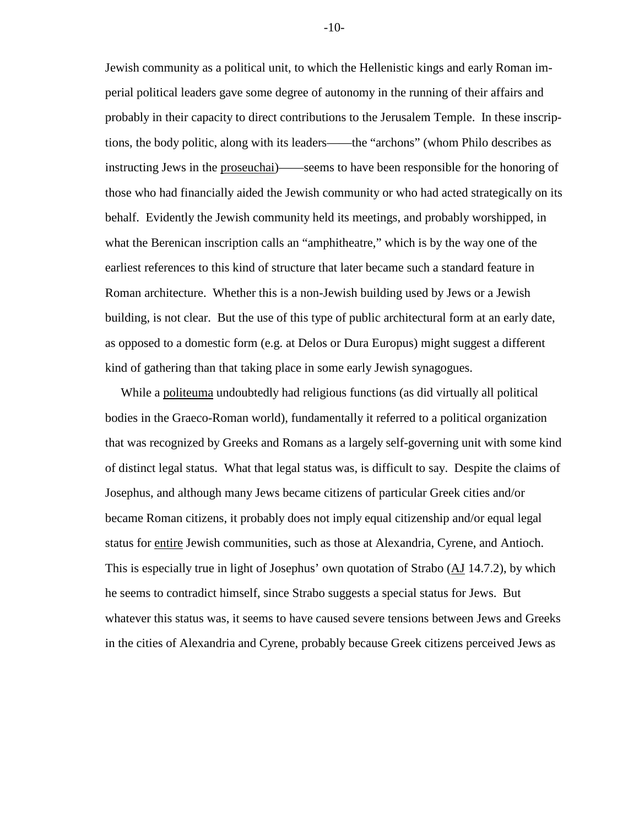Jewish community as a political unit, to which the Hellenistic kings and early Roman imperial political leaders gave some degree of autonomy in the running of their affairs and probably in their capacity to direct contributions to the Jerusalem Temple. In these inscriptions, the body politic, along with its leaders——the "archons" (whom Philo describes as instructing Jews in the proseuchai)——seems to have been responsible for the honoring of those who had financially aided the Jewish community or who had acted strategically on its behalf. Evidently the Jewish community held its meetings, and probably worshipped, in what the Berenican inscription calls an "amphitheatre," which is by the way one of the earliest references to this kind of structure that later became such a standard feature in Roman architecture. Whether this is a non-Jewish building used by Jews or a Jewish building, is not clear. But the use of this type of public architectural form at an early date, as opposed to a domestic form (e.g. at Delos or Dura Europus) might suggest a different kind of gathering than that taking place in some early Jewish synagogues.

While a <u>politeuma</u> undoubtedly had religious functions (as did virtually all political bodies in the Graeco-Roman world), fundamentally it referred to a political organization that was recognized by Greeks and Romans as a largely self-governing unit with some kind of distinct legal status. What that legal status was, is difficult to say. Despite the claims of Josephus, and although many Jews became citizens of particular Greek cities and/or became Roman citizens, it probably does not imply equal citizenship and/or equal legal status for entire Jewish communities, such as those at Alexandria, Cyrene, and Antioch. This is especially true in light of Josephus' own quotation of Strabo  $(4J14.7.2)$ , by which he seems to contradict himself, since Strabo suggests a special status for Jews. But whatever this status was, it seems to have caused severe tensions between Jews and Greeks in the cities of Alexandria and Cyrene, probably because Greek citizens perceived Jews as

-10-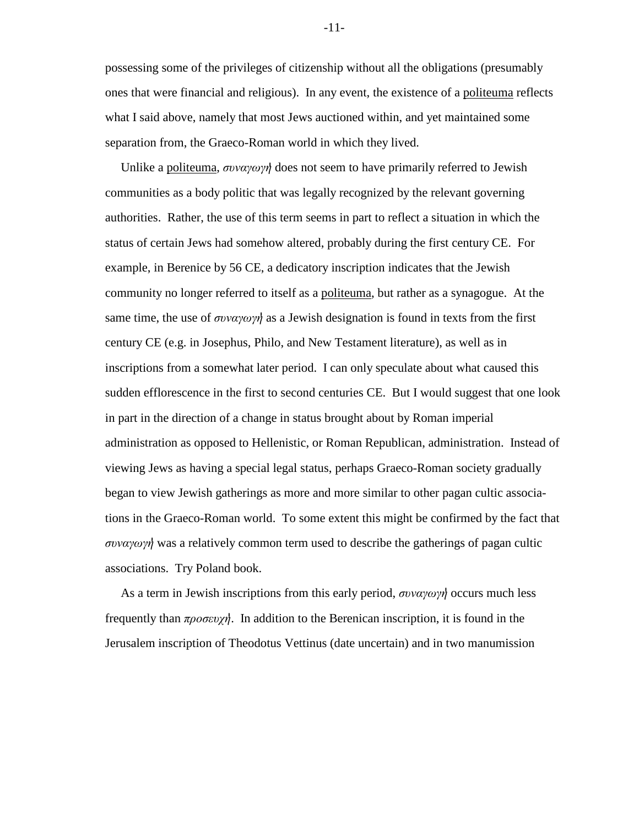possessing some of the privileges of citizenship without all the obligations (presumably ones that were financial and religious). In any event, the existence of a politeuma reflects what I said above, namely that most Jews auctioned within, and yet maintained some separation from, the Graeco-Roman world in which they lived.

 Unlike a politeuma, *συναγωγη'* does not seem to have primarily referred to Jewish communities as a body politic that was legally recognized by the relevant governing authorities. Rather, the use of this term seems in part to reflect a situation in which the status of certain Jews had somehow altered, probably during the first century CE. For example, in Berenice by 56 CE, a dedicatory inscription indicates that the Jewish community no longer referred to itself as a politeuma, but rather as a synagogue. At the same time, the use of *συναγωγη'* as a Jewish designation is found in texts from the first century CE (e.g. in Josephus, Philo, and New Testament literature), as well as in inscriptions from a somewhat later period. I can only speculate about what caused this sudden efflorescence in the first to second centuries CE. But I would suggest that one look in part in the direction of a change in status brought about by Roman imperial administration as opposed to Hellenistic, or Roman Republican, administration. Instead of viewing Jews as having a special legal status, perhaps Graeco-Roman society gradually began to view Jewish gatherings as more and more similar to other pagan cultic associations in the Graeco-Roman world. To some extent this might be confirmed by the fact that *συναγωγη'* was a relatively common term used to describe the gatherings of pagan cultic associations. Try Poland book.

 As a term in Jewish inscriptions from this early period, *συναγωγη'* occurs much less frequently than *προσευχη'*. In addition to the Berenican inscription, it is found in the Jerusalem inscription of Theodotus Vettinus (date uncertain) and in two manumission

-11-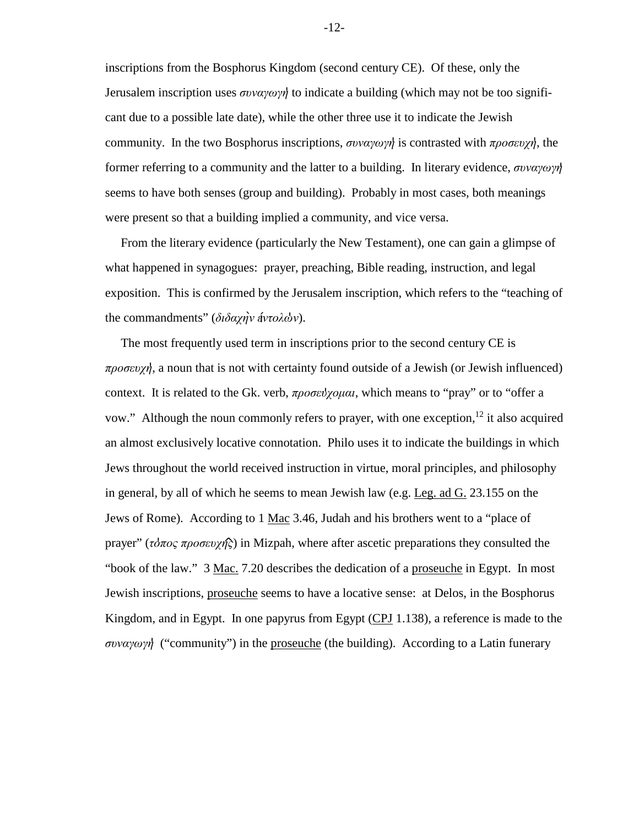inscriptions from the Bosphorus Kingdom (second century CE). Of these, only the Jerusalem inscription uses *συναγωγη'* to indicate a building (which may not be too significant due to a possible late date), while the other three use it to indicate the Jewish community. In the two Bosphorus inscriptions, *συναγωγη'* is contrasted with *προσευχη'*, the former referring to a community and the latter to a building. In literary evidence, *συναγωγη'* seems to have both senses (group and building). Probably in most cases, both meanings were present so that a building implied a community, and vice versa.

 From the literary evidence (particularly the New Testament), one can gain a glimpse of what happened in synagogues: prayer, preaching, Bible reading, instruction, and legal exposition. This is confirmed by the Jerusalem inscription, which refers to the "teaching of the commandments" (*διδαχη`ν ε'ντολω' ν*).

 The most frequently used term in inscriptions prior to the second century CE is *προσευχη'*, a noun that is not with certainty found outside of a Jewish (or Jewish influenced) context. It is related to the Gk. verb, *προσευ'χομαι*, which means to "pray" or to "offer a vow." Although the noun commonly refers to prayer, with one exception,  $^{12}$  it also acquired an almost exclusively locative connotation. Philo uses it to indicate the buildings in which Jews throughout the world received instruction in virtue, moral principles, and philosophy in general, by all of which he seems to mean Jewish law (e.g. Leg. ad G. 23.155 on the Jews of Rome). According to 1 Mac 3.46, Judah and his brothers went to a "place of prayer" (*το'πος προσευχη^ς*) in Mizpah, where after ascetic preparations they consulted the "book of the law." 3 Mac. 7.20 describes the dedication of a proseuche in Egypt. In most Jewish inscriptions, proseuche seems to have a locative sense: at Delos, in the Bosphorus Kingdom, and in Egypt. In one papyrus from Egypt  $(CPI 1.138)$ , a reference is made to the *συναγωγη'* ("community") in the proseuche (the building). According to a Latin funerary

-12-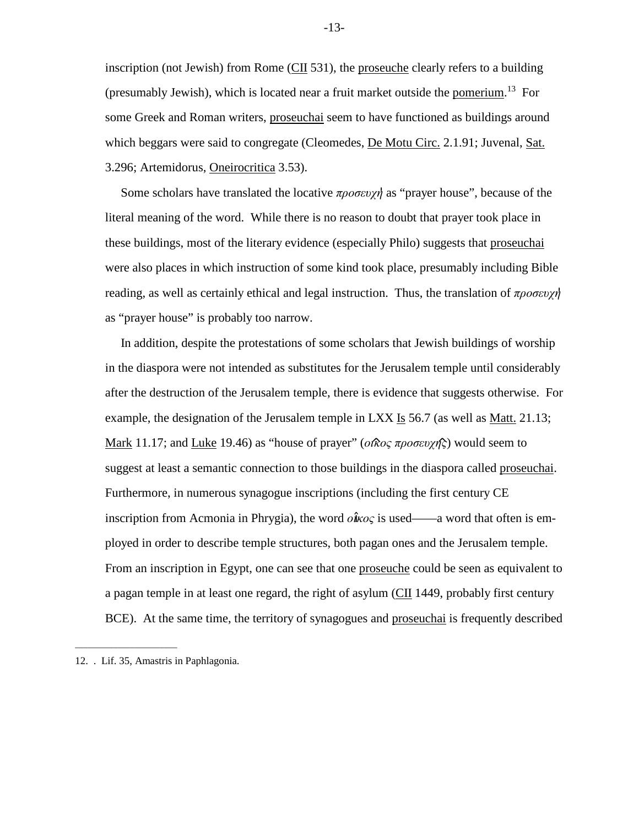inscription (not Jewish) from Rome  $(CH 531)$ , the proseuche clearly refers to a building (presumably Jewish), which is located near a fruit market outside the pomerium.<sup>13</sup> For some Greek and Roman writers, proseuchai seem to have functioned as buildings around which beggars were said to congregate (Cleomedes, De Motu Circ. 2.1.91; Juvenal, Sat. 3.296; Artemidorus, Oneirocritica 3.53).

 Some scholars have translated the locative *προσευχη'* as "prayer house", because of the literal meaning of the word. While there is no reason to doubt that prayer took place in these buildings, most of the literary evidence (especially Philo) suggests that proseuchai were also places in which instruction of some kind took place, presumably including Bible reading, as well as certainly ethical and legal instruction. Thus, the translation of *προσευχη'* as "prayer house" is probably too narrow.

 In addition, despite the protestations of some scholars that Jewish buildings of worship in the diaspora were not intended as substitutes for the Jerusalem temple until considerably after the destruction of the Jerusalem temple, there is evidence that suggests otherwise. For example, the designation of the Jerusalem temple in LXX  $\underline{Is}$  56.7 (as well as Matt. 21.13; Mark 11.17; and Luke 19.46) as "house of prayer" (*οι^κος προσευχη^ς*) would seem to suggest at least a semantic connection to those buildings in the diaspora called proseuchai. Furthermore, in numerous synagogue inscriptions (including the first century CE inscription from Acmonia in Phrygia), the word *οι<sup>"</sup>κος* is used——a word that often is employed in order to describe temple structures, both pagan ones and the Jerusalem temple. From an inscription in Egypt, one can see that one proseuche could be seen as equivalent to a pagan temple in at least one regard, the right of asylum  $(III 1449,$  probably first century BCE). At the same time, the territory of synagogues and proseuchai is frequently described

\_\_\_\_\_\_\_\_\_\_\_\_\_\_\_\_\_\_\_\_\_\_\_\_

-13-

<sup>12. .</sup> Lif. 35, Amastris in Paphlagonia.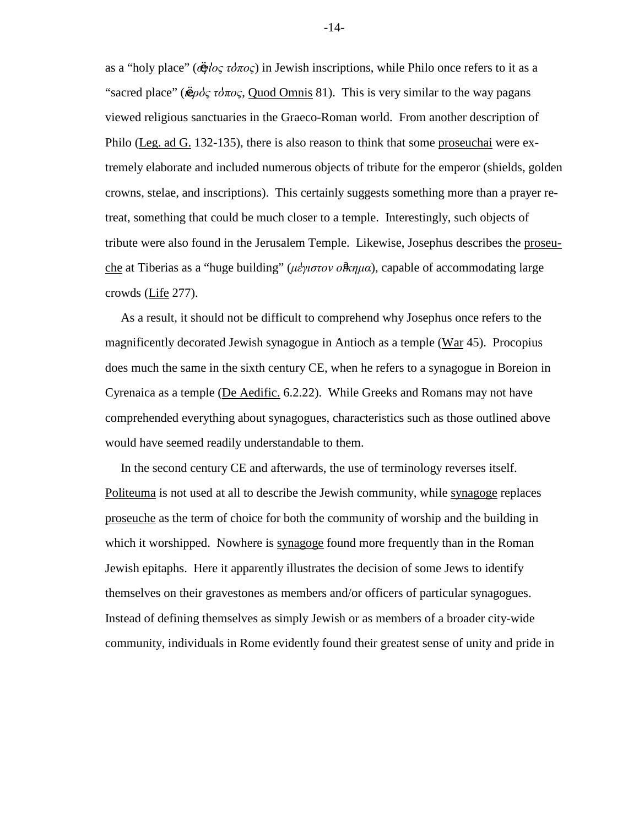as a "holy place" (*α'γι'ος το'πος*) in Jewish inscriptions, while Philo once refers to it as a "sacred place" (*ι'ερο'ς το'πος*, Quod Omnis 81). This is very similar to the way pagans viewed religious sanctuaries in the Graeco-Roman world. From another description of Philo (Leg. ad G. 132-135), there is also reason to think that some proseuchai were extremely elaborate and included numerous objects of tribute for the emperor (shields, golden crowns, stelae, and inscriptions). This certainly suggests something more than a prayer retreat, something that could be much closer to a temple. Interestingly, such objects of tribute were also found in the Jerusalem Temple. Likewise, Josephus describes the proseuche at Tiberias as a "huge building" (*με'γιστον οι»κημα*), capable of accommodating large crowds (Life 277).

 As a result, it should not be difficult to comprehend why Josephus once refers to the magnificently decorated Jewish synagogue in Antioch as a temple  $(War 45)$ . Procopius does much the same in the sixth century CE, when he refers to a synagogue in Boreion in Cyrenaica as a temple (De Aedific. 6.2.22). While Greeks and Romans may not have comprehended everything about synagogues, characteristics such as those outlined above would have seemed readily understandable to them.

 In the second century CE and afterwards, the use of terminology reverses itself. Politeuma is not used at all to describe the Jewish community, while synagoge replaces proseuche as the term of choice for both the community of worship and the building in which it worshipped. Nowhere is synagoge found more frequently than in the Roman Jewish epitaphs. Here it apparently illustrates the decision of some Jews to identify themselves on their gravestones as members and/or officers of particular synagogues. Instead of defining themselves as simply Jewish or as members of a broader city-wide community, individuals in Rome evidently found their greatest sense of unity and pride in

-14-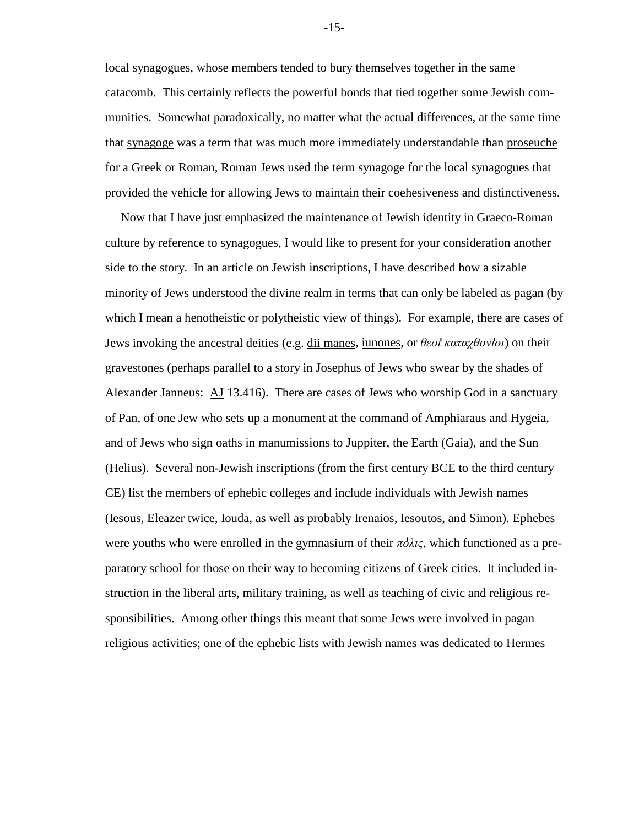local synagogues, whose members tended to bury themselves together in the same catacomb. This certainly reflects the powerful bonds that tied together some Jewish communities. Somewhat paradoxically, no matter what the actual differences, at the same time that synagoge was a term that was much more immediately understandable than proseuche for a Greek or Roman, Roman Jews used the term synagoge for the local synagogues that provided the vehicle for allowing Jews to maintain their coehesiveness and distinctiveness.

 Now that I have just emphasized the maintenance of Jewish identity in Graeco-Roman culture by reference to synagogues, I would like to present for your consideration another side to the story. In an article on Jewish inscriptions, I have described how a sizable minority of Jews understood the divine realm in terms that can only be labeled as pagan (by which I mean a henotheistic or polytheistic view of things). For example, there are cases of Jews invoking the ancestral deities (e.g. dii manes, iunones, or *θεοι' καταχθονι'οι*) on their gravestones (perhaps parallel to a story in Josephus of Jews who swear by the shades of Alexander Janneus:  $\overline{AJ}$  13.416). There are cases of Jews who worship God in a sanctuary of Pan, of one Jew who sets up a monument at the command of Amphiaraus and Hygeia, and of Jews who sign oaths in manumissions to Juppiter, the Earth (Gaia), and the Sun (Helius). Several non-Jewish inscriptions (from the first century BCE to the third century CE) list the members of ephebic colleges and include individuals with Jewish names (Iesous, Eleazer twice, Iouda, as well as probably Irenaios, Iesoutos, and Simon). Ephebes were youths who were enrolled in the gymnasium of their *πο'λις*, which functioned as a preparatory school for those on their way to becoming citizens of Greek cities. It included instruction in the liberal arts, military training, as well as teaching of civic and religious responsibilities. Among other things this meant that some Jews were involved in pagan religious activities; one of the ephebic lists with Jewish names was dedicated to Hermes

-15-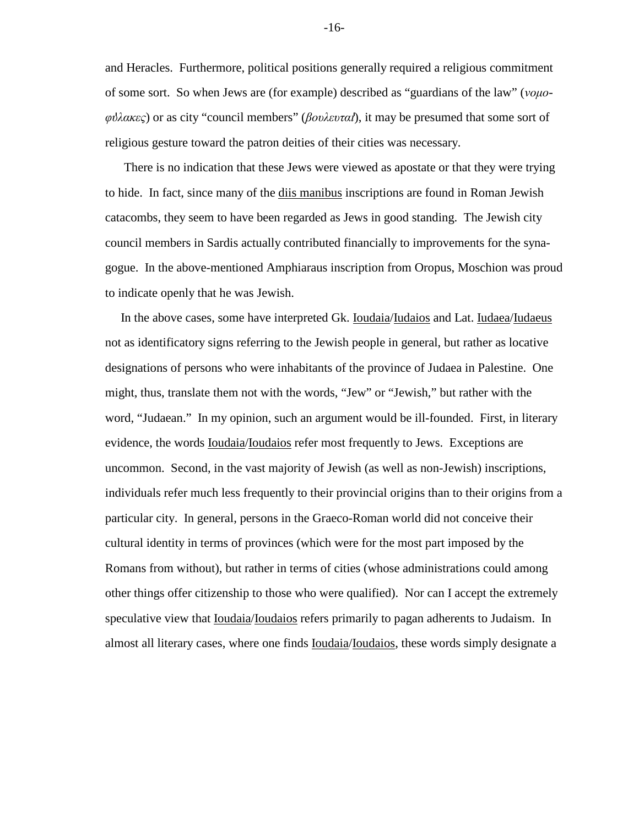and Heracles. Furthermore, political positions generally required a religious commitment of some sort. So when Jews are (for example) described as "guardians of the law" (*νομοφυ'λακες*) or as city "council members" (*βουλευται'*), it may be presumed that some sort of religious gesture toward the patron deities of their cities was necessary.

 There is no indication that these Jews were viewed as apostate or that they were trying to hide. In fact, since many of the <u>diis manibus</u> inscriptions are found in Roman Jewish catacombs, they seem to have been regarded as Jews in good standing. The Jewish city council members in Sardis actually contributed financially to improvements for the synagogue. In the above-mentioned Amphiaraus inscription from Oropus, Moschion was proud to indicate openly that he was Jewish.

In the above cases, some have interpreted Gk. **Ioudaia**/Iudaios and Lat. Iudaea/Iudaeus not as identificatory signs referring to the Jewish people in general, but rather as locative designations of persons who were inhabitants of the province of Judaea in Palestine. One might, thus, translate them not with the words, "Jew" or "Jewish," but rather with the word, "Judaean." In my opinion, such an argument would be ill-founded. First, in literary evidence, the words Ioudaia/Ioudaios refer most frequently to Jews. Exceptions are uncommon. Second, in the vast majority of Jewish (as well as non-Jewish) inscriptions, individuals refer much less frequently to their provincial origins than to their origins from a particular city. In general, persons in the Graeco-Roman world did not conceive their cultural identity in terms of provinces (which were for the most part imposed by the Romans from without), but rather in terms of cities (whose administrations could among other things offer citizenship to those who were qualified). Nor can I accept the extremely speculative view that **Ioudaia**/Ioudaios refers primarily to pagan adherents to Judaism. In almost all literary cases, where one finds Ioudaia/Ioudaios, these words simply designate a

-16-